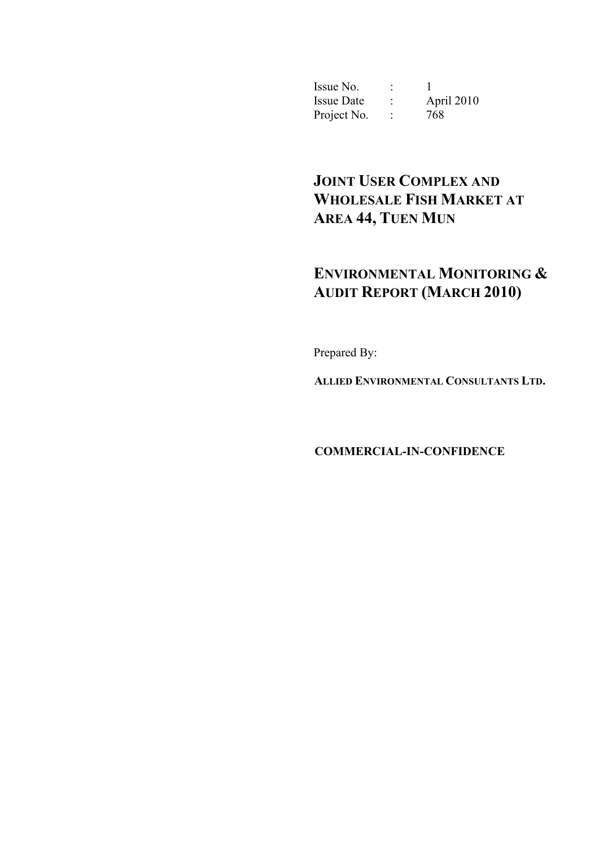Issue No.  $\qquad \qquad : \qquad 1$  Issue Date : April 2010 Project No. : 768

# **JOINT USER COMPLEX AND WHOLESALE FISH MARKET AT AREA 44, TUEN MUN**

# **ENVIRONMENTAL MONITORING & AUDIT REPORT (MARCH 2010)**

Prepared By:

**ALLIED ENVIRONMENTAL CONSULTANTS LTD.** 

**COMMERCIAL-IN-CONFIDENCE**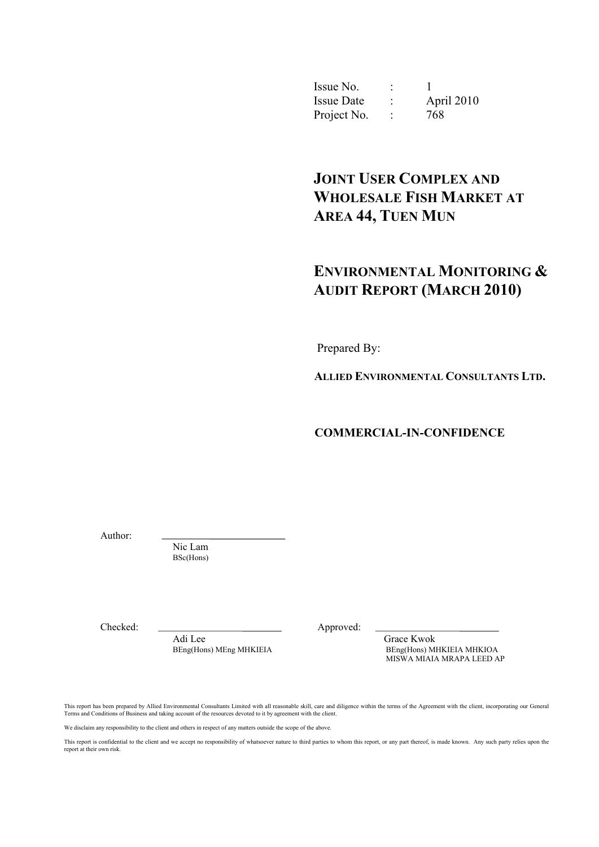Issue No.  $\qquad \qquad : \qquad 1$ Issue Date : April 2010 Project No. : 768

## **JOINT USER COMPLEX AND WHOLESALE FISH MARKET AT AREA 44, TUEN MUN**

## **ENVIRONMENTAL MONITORING & AUDIT REPORT (MARCH 2010)**

Prepared By:

**ALLIED ENVIRONMENTAL CONSULTANTS LTD.** 

**COMMERCIAL-IN-CONFIDENCE** 

Author:

Nic Lam BSc(Hons)

Checked: Approved:

Adi Lee Grace Kwok<br>BEng(Hons) MEng MHKIEIA BEng(Hons) M

BEng(Hons) MHKIEIA MHKIOA MISWA MIAIA MRAPA LEED AP

This report has been prepared by Allied Environmental Consultants Limited with all reasonable skill, care and diligence within the terms of the Agreement with the client, incorporating our General Terms and Conditions of Business and taking account of the resources devoted to it by agreement with the client.

We disclaim any responsibility to the client and others in respect of any matters outside the scope of the above.

This report is confidential to the client and we accept no responsibility of whatsoever nature to third parties to whom this report, or any part thereof, is made known. Any such party relies upon the report at their own risk.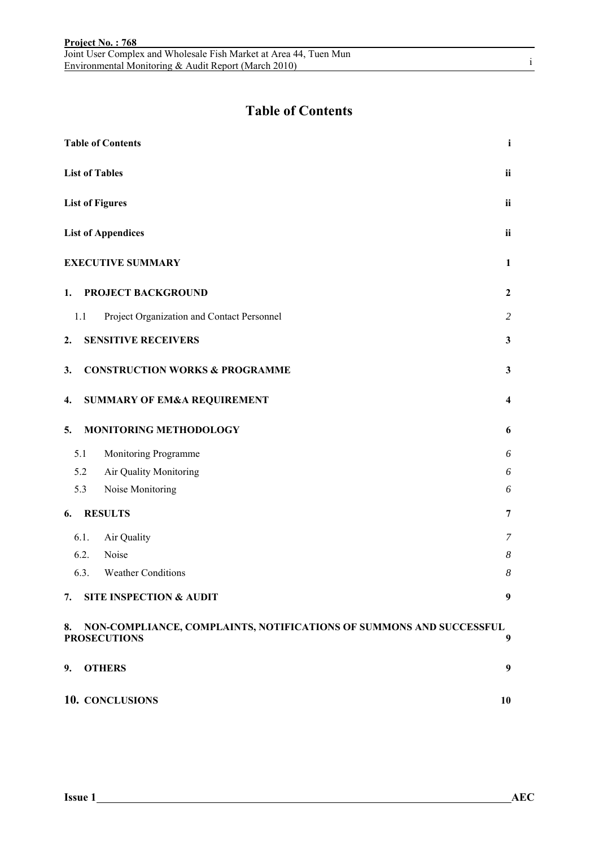## **Table of Contents**

|      | <b>Table of Contents</b>                                                                      | $\mathbf{i}$            |
|------|-----------------------------------------------------------------------------------------------|-------------------------|
|      | <b>List of Tables</b>                                                                         | ii                      |
|      | <b>List of Figures</b>                                                                        | ii                      |
|      | <b>List of Appendices</b>                                                                     | ii                      |
|      | <b>EXECUTIVE SUMMARY</b>                                                                      | 1                       |
| 1.   | PROJECT BACKGROUND                                                                            | $\boldsymbol{2}$        |
| 1.1  | Project Organization and Contact Personnel                                                    | $\overline{2}$          |
| 2.   | <b>SENSITIVE RECEIVERS</b>                                                                    | $\mathbf{3}$            |
| 3.   | <b>CONSTRUCTION WORKS &amp; PROGRAMME</b>                                                     | $\mathbf{3}$            |
| 4.   | <b>SUMMARY OF EM&amp;A REQUIREMENT</b>                                                        | $\overline{\mathbf{4}}$ |
| 5.   | MONITORING METHODOLOGY                                                                        | 6                       |
| 5.1  | Monitoring Programme                                                                          | 6                       |
| 5.2  | Air Quality Monitoring                                                                        | 6                       |
| 5.3  | Noise Monitoring                                                                              | 6                       |
| 6.   | <b>RESULTS</b>                                                                                | 7                       |
| 6.1. | Air Quality                                                                                   | 7                       |
| 6.2. | Noise                                                                                         | $\boldsymbol{8}$        |
| 6.3. | Weather Conditions                                                                            | 8                       |
|      | 7. SITE INSPECTION & AUDIT                                                                    | 9                       |
|      | 8. NON-COMPLIANCE, COMPLAINTS, NOTIFICATIONS OF SUMMONS AND SUCCESSFUL<br><b>PROSECUTIONS</b> | 9                       |
| 9.   | <b>OTHERS</b>                                                                                 | 9                       |
|      | 10. CONCLUSIONS                                                                               | 10                      |

i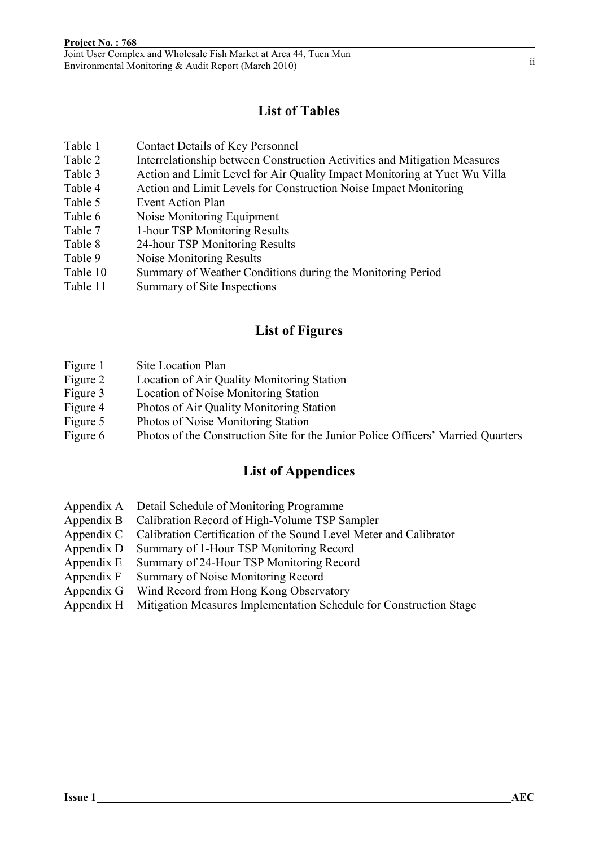## **List of Tables**

- Table 1 Contact Details of Key Personnel
- Table 2 Interrelationship between Construction Activities and Mitigation Measures
- Table 3 Action and Limit Level for Air Quality Impact Monitoring at Yuet Wu Villa
- Table 4 Action and Limit Levels for Construction Noise Impact Monitoring
- Table 5 Event Action Plan
- Table 6 Noise Monitoring Equipment
- Table 7 1-hour TSP Monitoring Results
- Table 8 24-hour TSP Monitoring Results
- Table 9 Noise Monitoring Results
- Table 10 Summary of Weather Conditions during the Monitoring Period
- Table 11 Summary of Site Inspections

### **List of Figures**

- Figure 1 Site Location Plan
- Figure 2 Location of Air Quality Monitoring Station
- Figure 3 Location of Noise Monitoring Station
- Figure 4 Photos of Air Quality Monitoring Station
- Figure 5 Photos of Noise Monitoring Station
- Figure 6 Photos of the Construction Site for the Junior Police Officers' Married Quarters

### **List of Appendices**

- Appendix A Detail Schedule of Monitoring Programme
- Appendix B Calibration Record of High-Volume TSP Sampler
- Appendix C Calibration Certification of the Sound Level Meter and Calibrator
- Appendix D Summary of 1-Hour TSP Monitoring Record
- Appendix E Summary of 24-Hour TSP Monitoring Record
- Appendix F Summary of Noise Monitoring Record
- Appendix G Wind Record from Hong Kong Observatory
- Appendix H Mitigation Measures Implementation Schedule for Construction Stage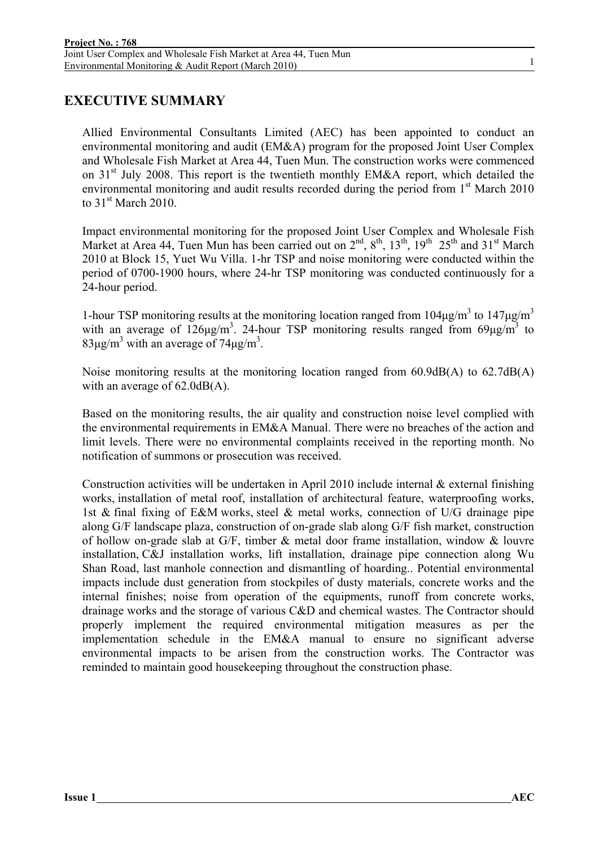### **EXECUTIVE SUMMARY**

Allied Environmental Consultants Limited (AEC) has been appointed to conduct an environmental monitoring and audit (EM&A) program for the proposed Joint User Complex and Wholesale Fish Market at Area 44, Tuen Mun. The construction works were commenced on  $31<sup>st</sup>$  July 2008. This report is the twentieth monthly EM&A report, which detailed the environmental monitoring and audit results recorded during the period from 1<sup>st</sup> March 2010 to  $31<sup>st</sup>$  March 2010.

Impact environmental monitoring for the proposed Joint User Complex and Wholesale Fish Market at Area 44, Tuen Mun has been carried out on  $2<sup>nd</sup>$ ,  $8<sup>th</sup>$ ,  $13<sup>th</sup>$ ,  $19<sup>th</sup>$   $25<sup>th</sup>$  and  $31<sup>st</sup>$  March 2010 at Block 15, Yuet Wu Villa. 1-hr TSP and noise monitoring were conducted within the period of 0700-1900 hours, where 24-hr TSP monitoring was conducted continuously for a 24-hour period.

1-hour TSP monitoring results at the monitoring location ranged from  $104\mu g/m^3$  to  $147\mu g/m^3$ with an average of  $126\mu g/m^3$ . 24-hour TSP monitoring results ranged from  $69\mu g/m^3$  to  $83\mu g/m^3$  with an average of  $74\mu g/m^3$ .

Noise monitoring results at the monitoring location ranged from 60.9dB(A) to 62.7dB(A) with an average of 62.0dB(A).

Based on the monitoring results, the air quality and construction noise level complied with the environmental requirements in EM&A Manual. There were no breaches of the action and limit levels. There were no environmental complaints received in the reporting month. No notification of summons or prosecution was received.

Construction activities will be undertaken in April 2010 include internal & external finishing works, installation of metal roof, installation of architectural feature, waterproofing works, 1st & final fixing of E&M works, steel & metal works, connection of U/G drainage pipe along G/F landscape plaza, construction of on-grade slab along G/F fish market, construction of hollow on-grade slab at G/F, timber & metal door frame installation, window & louvre installation, C&J installation works, lift installation, drainage pipe connection along Wu Shan Road, last manhole connection and dismantling of hoarding.. Potential environmental impacts include dust generation from stockpiles of dusty materials, concrete works and the internal finishes; noise from operation of the equipments, runoff from concrete works, drainage works and the storage of various C&D and chemical wastes. The Contractor should properly implement the required environmental mitigation measures as per the implementation schedule in the EM&A manual to ensure no significant adverse environmental impacts to be arisen from the construction works. The Contractor was reminded to maintain good housekeeping throughout the construction phase.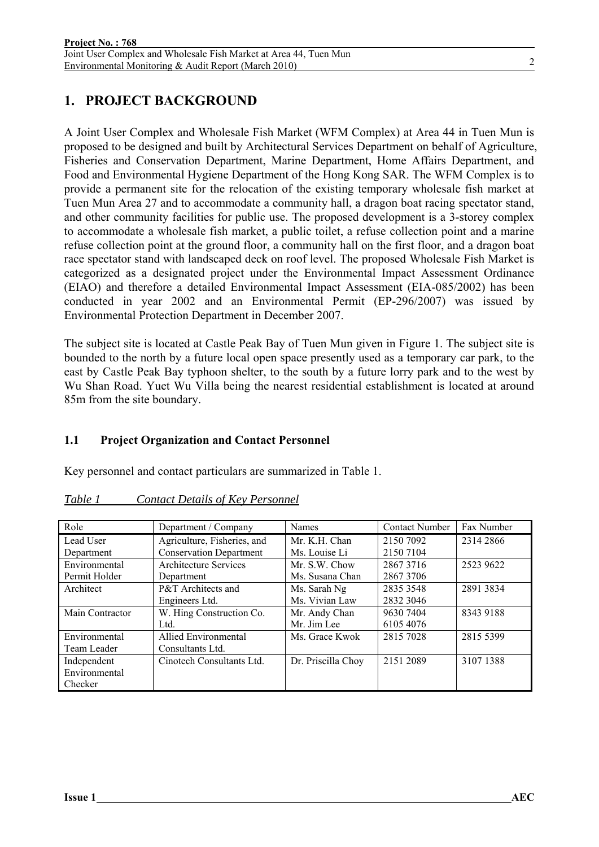#### 2

#### **1. PROJECT BACKGROUND**

A Joint User Complex and Wholesale Fish Market (WFM Complex) at Area 44 in Tuen Mun is proposed to be designed and built by Architectural Services Department on behalf of Agriculture, Fisheries and Conservation Department, Marine Department, Home Affairs Department, and Food and Environmental Hygiene Department of the Hong Kong SAR. The WFM Complex is to provide a permanent site for the relocation of the existing temporary wholesale fish market at Tuen Mun Area 27 and to accommodate a community hall, a dragon boat racing spectator stand, and other community facilities for public use. The proposed development is a 3-storey complex to accommodate a wholesale fish market, a public toilet, a refuse collection point and a marine refuse collection point at the ground floor, a community hall on the first floor, and a dragon boat race spectator stand with landscaped deck on roof level. The proposed Wholesale Fish Market is categorized as a designated project under the Environmental Impact Assessment Ordinance (EIAO) and therefore a detailed Environmental Impact Assessment (EIA-085/2002) has been conducted in year 2002 and an Environmental Permit (EP-296/2007) was issued by Environmental Protection Department in December 2007.

The subject site is located at Castle Peak Bay of Tuen Mun given in Figure 1. The subject site is bounded to the north by a future local open space presently used as a temporary car park, to the east by Castle Peak Bay typhoon shelter, to the south by a future lorry park and to the west by Wu Shan Road. Yuet Wu Villa being the nearest residential establishment is located at around 85m from the site boundary.

#### **1.1 Project Organization and Contact Personnel**

Key personnel and contact particulars are summarized in Table 1.

| Role            | Department / Company           | <b>Names</b>       | <b>Contact Number</b> | Fax Number |
|-----------------|--------------------------------|--------------------|-----------------------|------------|
|                 |                                |                    |                       |            |
| Lead User       | Agriculture, Fisheries, and    | Mr. K.H. Chan      | 2150 7092             | 2314 2866  |
| Department      | <b>Conservation Department</b> | Ms. Louise Li      | 2150 7104             |            |
| Environmental   | Architecture Services          | Mr. S.W. Chow      | 28673716              | 2523 9622  |
| Permit Holder   | Department                     | Ms. Susana Chan    | 28673706              |            |
| Architect       | <b>P&amp;T</b> Architects and  | Ms. Sarah Ng       | 2835 3548             | 2891 3834  |
|                 | Engineers Ltd.                 | Ms. Vivian Law     | 2832 3046             |            |
| Main Contractor | W. Hing Construction Co.       | Mr. Andy Chan      | 9630 7404             | 8343 9188  |
|                 | Ltd.                           | Mr. Jim Lee        | 6105 4076             |            |
| Environmental   | Allied Environmental           | Ms. Grace Kwok     | 2815 7028             | 2815 5399  |
| Team Leader     | Consultants Ltd.               |                    |                       |            |
| Independent     | Cinotech Consultants Ltd.      | Dr. Priscilla Choy | 2151 2089             | 3107 1388  |
| Environmental   |                                |                    |                       |            |
| Checker         |                                |                    |                       |            |

*Table 1 Contact Details of Key Personnel*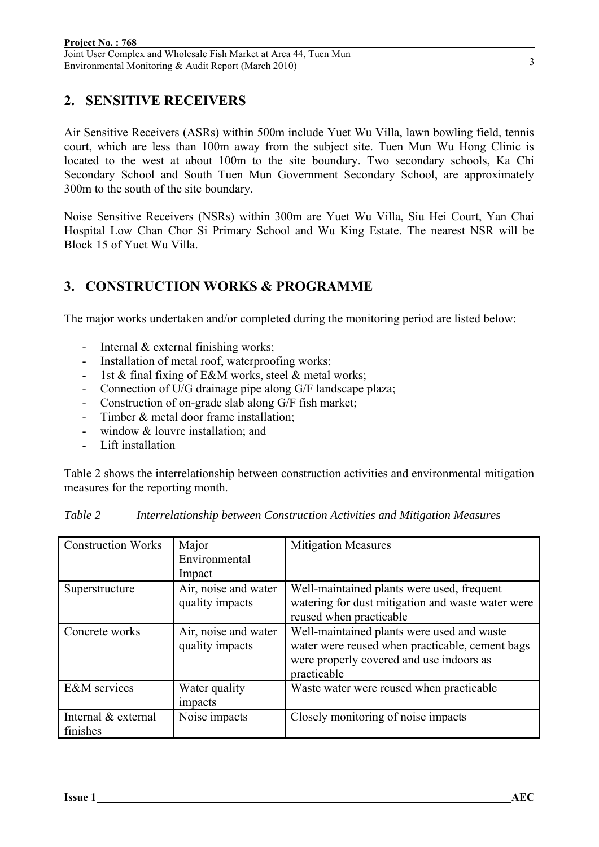### **2. SENSITIVE RECEIVERS**

Air Sensitive Receivers (ASRs) within 500m include Yuet Wu Villa, lawn bowling field, tennis court, which are less than 100m away from the subject site. Tuen Mun Wu Hong Clinic is located to the west at about 100m to the site boundary. Two secondary schools, Ka Chi Secondary School and South Tuen Mun Government Secondary School, are approximately 300m to the south of the site boundary.

Noise Sensitive Receivers (NSRs) within 300m are Yuet Wu Villa, Siu Hei Court, Yan Chai Hospital Low Chan Chor Si Primary School and Wu King Estate. The nearest NSR will be Block 15 of Yuet Wu Villa.

### **3. CONSTRUCTION WORKS & PROGRAMME**

The major works undertaken and/or completed during the monitoring period are listed below:

- Internal & external finishing works;
- Installation of metal roof, waterproofing works:
- 1st & final fixing of E&M works, steel & metal works;
- Connection of U/G drainage pipe along G/F landscape plaza;
- Construction of on-grade slab along G/F fish market;
- Timber & metal door frame installation:
- window  $&$  louvre installation; and
- Lift installation

Table 2 shows the interrelationship between construction activities and environmental mitigation measures for the reporting month.

| <b>Construction Works</b>       | Major<br>Environmental<br>Impact        | <b>Mitigation Measures</b>                                                                                                                               |
|---------------------------------|-----------------------------------------|----------------------------------------------------------------------------------------------------------------------------------------------------------|
| Superstructure                  | Air, noise and water<br>quality impacts | Well-maintained plants were used, frequent<br>watering for dust mitigation and waste water were<br>reused when practicable                               |
| Concrete works                  | Air, noise and water<br>quality impacts | Well-maintained plants were used and waste<br>water were reused when practicable, cement bags<br>were properly covered and use indoors as<br>practicable |
| E&M services                    | Water quality<br>impacts                | Waste water were reused when practicable                                                                                                                 |
| Internal & external<br>finishes | Noise impacts                           | Closely monitoring of noise impacts                                                                                                                      |

*Table 2 Interrelationship between Construction Activities and Mitigation Measures*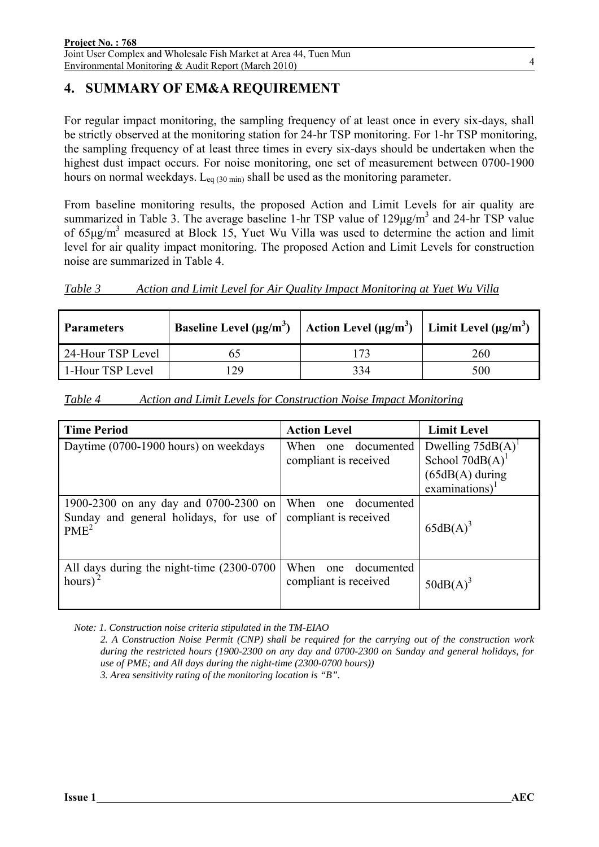## **4. SUMMARY OF EM&A REQUIREMENT**

For regular impact monitoring, the sampling frequency of at least once in every six-days, shall be strictly observed at the monitoring station for 24-hr TSP monitoring. For 1-hr TSP monitoring, the sampling frequency of at least three times in every six-days should be undertaken when the highest dust impact occurs. For noise monitoring, one set of measurement between 0700-1900 hours on normal weekdays.  $L_{eq}$  (30 min) shall be used as the monitoring parameter.

From baseline monitoring results, the proposed Action and Limit Levels for air quality are summarized in Table 3. The average baseline 1-hr TSP value of  $129\mu g/m<sup>3</sup>$  and 24-hr TSP value of 65μg/m<sup>3</sup> measured at Block 15, Yuet Wu Villa was used to determine the action and limit level for air quality impact monitoring. The proposed Action and Limit Levels for construction noise are summarized in Table 4.

*Table 3 Action and Limit Level for Air Quality Impact Monitoring at Yuet Wu Villa*

| <b>Parameters</b> | <b>Baseline Level</b> ( $\mu$ g/m <sup>3</sup> ) | Action Level ( $\mu$ g/m <sup>3</sup> ) Limit Level ( $\mu$ g/m <sup>3</sup> ) |     |
|-------------------|--------------------------------------------------|--------------------------------------------------------------------------------|-----|
| 24-Hour TSP Level |                                                  |                                                                                | 260 |
| 1-Hour TSP Level  | 29                                               | 334                                                                            | 500 |

|--|

| <b>Time Period</b>                                                                                   | <b>Action Level</b>                                | <b>Limit Level</b>                                                                              |
|------------------------------------------------------------------------------------------------------|----------------------------------------------------|-------------------------------------------------------------------------------------------------|
| Daytime (0700-1900 hours) on weekdays                                                                | documented<br>When<br>one<br>compliant is received | Dwelling $75dB(A)^T$<br>School $70dB(A)$ <sup>1</sup><br>$(65dB(A)$ during<br>examinations) $1$ |
| 1900-2300 on any day and 0700-2300 on<br>Sunday and general holidays, for use of<br>PME <sup>2</sup> | When<br>one documented<br>compliant is received    | $65dB(A)^3$                                                                                     |
| All days during the night-time (2300-0700)<br>hours) <sup>2</sup>                                    | When<br>one documented<br>compliant is received    | $50dB(A)^3$                                                                                     |

*Note: 1. Construction noise criteria stipulated in the TM-EIAO* 

*2. A Construction Noise Permit (CNP) shall be required for the carrying out of the construction work during the restricted hours (1900-2300 on any day and 0700-2300 on Sunday and general holidays, for use of PME; and All days during the night-time (2300-0700 hours)) 3. Area sensitivity rating of the monitoring location is "B".* 

4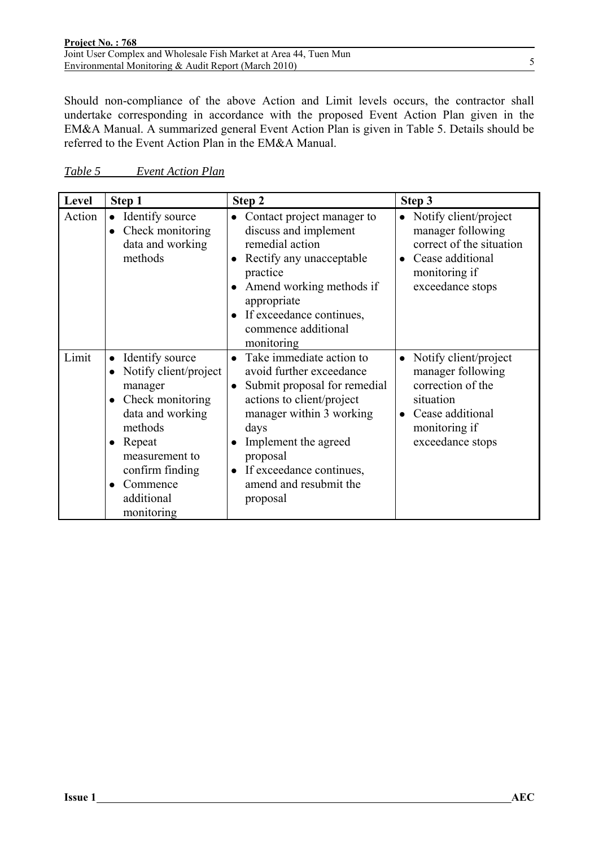Should non-compliance of the above Action and Limit levels occurs, the contractor shall undertake corresponding in accordance with the proposed Event Action Plan given in the EM&A Manual. A summarized general Event Action Plan is given in Table 5. Details should be referred to the Event Action Plan in the EM&A Manual.

| Level  | Step 1                                                                                                                                                                                                                                                         | Step 2                                                                                                                                                                                                                                                      | Step 3                                                                                                                                |
|--------|----------------------------------------------------------------------------------------------------------------------------------------------------------------------------------------------------------------------------------------------------------------|-------------------------------------------------------------------------------------------------------------------------------------------------------------------------------------------------------------------------------------------------------------|---------------------------------------------------------------------------------------------------------------------------------------|
| Action | • Identify source<br>Check monitoring<br>$\bullet$<br>data and working<br>methods                                                                                                                                                                              | Contact project manager to<br>discuss and implement<br>remedial action<br>Rectify any unacceptable<br>practice<br>Amend working methods if<br>appropriate<br>If exceedance continues,<br>commence additional<br>monitoring                                  | Notify client/project<br>manager following<br>correct of the situation<br>Cease additional<br>monitoring if<br>exceedance stops       |
| Limit  | Identify source<br>$\bullet$<br>Notify client/project<br>$\bullet$<br>manager<br>Check monitoring<br>$\bullet$<br>data and working<br>methods<br>Repeat<br>$\bullet$<br>measurement to<br>confirm finding<br>Commence<br>$\bullet$<br>additional<br>monitoring | Take immediate action to<br>avoid further exceedance<br>Submit proposal for remedial<br>actions to client/project<br>manager within 3 working<br>days<br>Implement the agreed<br>proposal<br>If exceedance continues,<br>amend and resubmit the<br>proposal | Notify client/project<br>manager following<br>correction of the<br>situation<br>Cease additional<br>monitoring if<br>exceedance stops |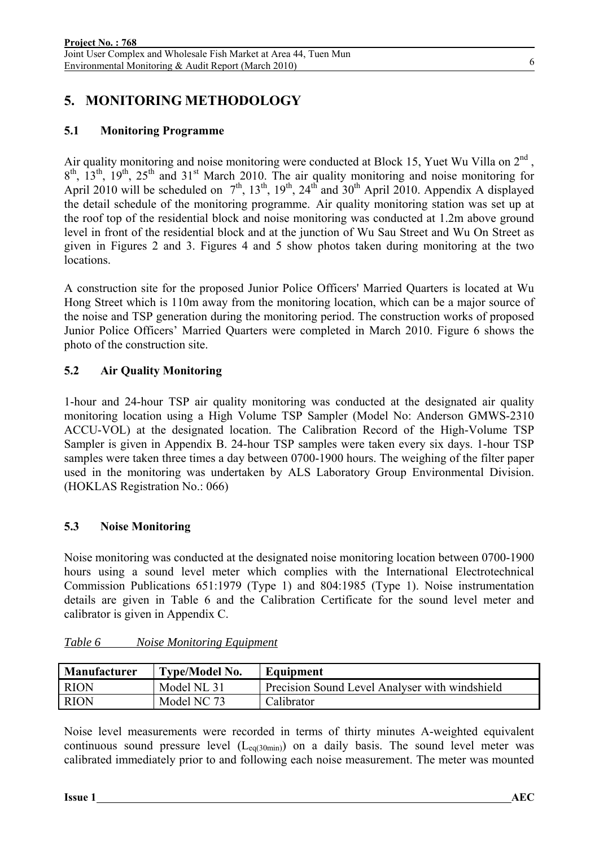## **5. MONITORING METHODOLOGY**

#### **5.1 Monitoring Programme**

Air quality monitoring and noise monitoring were conducted at Block 15, Yuet Wu Villa on  $2<sup>nd</sup>$ .  $8<sup>th</sup>$ ,  $13<sup>th</sup>$ ,  $19<sup>th</sup>$ ,  $25<sup>th</sup>$  and  $31<sup>st</sup>$  March 2010. The air quality monitoring and noise monitoring for April 2010 will be scheduled on  $7<sup>th</sup>$ ,  $13<sup>th</sup>$ ,  $19<sup>th</sup>$ ,  $24<sup>th</sup>$  and  $30<sup>th</sup>$  April 2010. Appendix A displayed the detail schedule of the monitoring programme. Air quality monitoring station was set up at the roof top of the residential block and noise monitoring was conducted at 1.2m above ground level in front of the residential block and at the junction of Wu Sau Street and Wu On Street as given in Figures 2 and 3. Figures 4 and 5 show photos taken during monitoring at the two locations.

A construction site for the proposed Junior Police Officers' Married Quarters is located at Wu Hong Street which is 110m away from the monitoring location, which can be a major source of the noise and TSP generation during the monitoring period. The construction works of proposed Junior Police Officers' Married Quarters were completed in March 2010. Figure 6 shows the photo of the construction site.

#### **5.2 Air Quality Monitoring**

1-hour and 24-hour TSP air quality monitoring was conducted at the designated air quality monitoring location using a High Volume TSP Sampler (Model No: Anderson GMWS-2310 ACCU-VOL) at the designated location. The Calibration Record of the High-Volume TSP Sampler is given in Appendix B. 24-hour TSP samples were taken every six days. 1-hour TSP samples were taken three times a day between 0700-1900 hours. The weighing of the filter paper used in the monitoring was undertaken by ALS Laboratory Group Environmental Division. (HOKLAS Registration No.: 066)

#### **5.3 Noise Monitoring**

Noise monitoring was conducted at the designated noise monitoring location between 0700-1900 hours using a sound level meter which complies with the International Electrotechnical Commission Publications 651:1979 (Type 1) and 804:1985 (Type 1). Noise instrumentation details are given in Table 6 and the Calibration Certificate for the sound level meter and calibrator is given in Appendix C.

| <b>Manufacturer</b> | <b>Type/Model No.</b> | Equipment                                      |
|---------------------|-----------------------|------------------------------------------------|
| <b>RION</b>         | Model NL 31           | Precision Sound Level Analyser with windshield |
| <b>RION</b>         | Model NC 73           | Calibrator                                     |

| Table 6 |  |  | <b>Noise Monitoring Equipment</b> |
|---------|--|--|-----------------------------------|
|         |  |  |                                   |

Noise level measurements were recorded in terms of thirty minutes A-weighted equivalent continuous sound pressure level  $(L_{eq(30min)})$  on a daily basis. The sound level meter was calibrated immediately prior to and following each noise measurement. The meter was mounted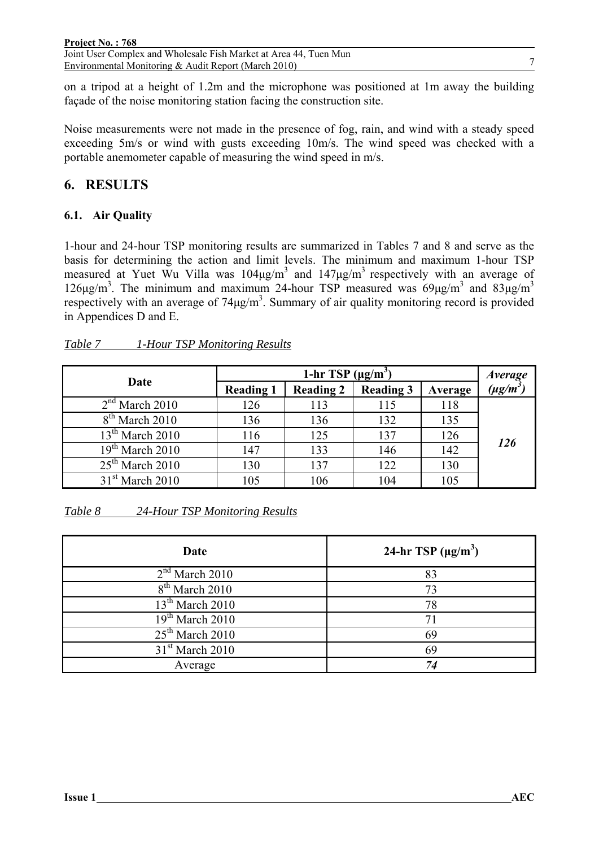Joint User Complex and Wholesale Fish Market at Area 44, Tuen Mun Environmental Monitoring & Audit Report (March 2010)

on a tripod at a height of 1.2m and the microphone was positioned at 1m away the building façade of the noise monitoring station facing the construction site.

Noise measurements were not made in the presence of fog, rain, and wind with a steady speed exceeding 5m/s or wind with gusts exceeding 10m/s. The wind speed was checked with a portable anemometer capable of measuring the wind speed in m/s.

## **6. RESULTS**

### **6.1. Air Quality**

1-hour and 24-hour TSP monitoring results are summarized in Tables 7 and 8 and serve as the basis for determining the action and limit levels. The minimum and maximum 1-hour TSP measured at Yuet Wu Villa was  $104 \mu g/m^3$  and  $147 \mu g/m^3$  respectively with an average of 126μg/m<sup>3</sup>. The minimum and maximum 24-hour TSP measured was  $69\mu g/m^3$  and  $83\mu g/m^3$ respectively with an average of  $74\mu\text{g/m}^3$ . Summary of air quality monitoring record is provided in Appendices D and E.

| Table 7 | 1-Hour TSP Monitoring Results |  |
|---------|-------------------------------|--|
|         |                               |  |

|                   |                  | 1-hr TSP $(\mu g/m^3)$ |                  |         | <i>Average</i> |
|-------------------|------------------|------------------------|------------------|---------|----------------|
| Date              | <b>Reading 1</b> | <b>Reading 2</b>       | <b>Reading 3</b> | Average | $(\mu g/m^3)$  |
| $2nd$ March 2010  | 126              | 113                    | 115              | 118     |                |
| $8th$ March 2010  | 136              | 136                    | 132              | 135     |                |
| $13th$ March 2010 | 116              | 125                    | 137              | 126     |                |
| $19th$ March 2010 | 147              | 133                    | 146              | 142     | 126            |
| $25th$ March 2010 | 130              | 137                    | 122              | 130     |                |
| $31st$ March 2010 | 105              | 106                    | 104              | 105     |                |

| 24-Hour TSP Monitoring Results<br>Table 8 |
|-------------------------------------------|
|-------------------------------------------|

| Date              | 24-hr TSP $(\mu g/m^3)$ |
|-------------------|-------------------------|
| $2nd$ March 2010  | 83                      |
| $8th$ March 2010  | 73                      |
| $13th$ March 2010 | 78                      |
| $19th$ March 2010 | 71                      |
| $25th$ March 2010 | 69                      |
| $31st$ March 2010 | 69                      |
| Average           | 74                      |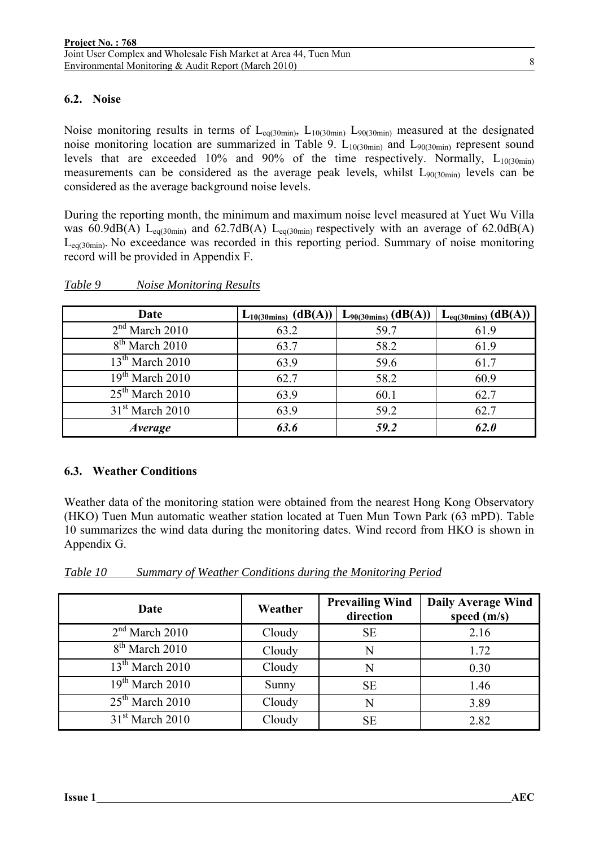#### **6.2. Noise**

Noise monitoring results in terms of  $L_{eq(30min)}$ ,  $L_{10(30min)}$   $L_{90(30min)}$  measured at the designated noise monitoring location are summarized in Table 9.  $L_{10(30min)}$  and  $L_{90(30min)}$  represent sound levels that are exceeded 10% and 90% of the time respectively. Normally,  $L_{10(30min)}$ measurements can be considered as the average peak levels, whilst  $L_{90(30min)}$  levels can be considered as the average background noise levels.

During the reporting month, the minimum and maximum noise level measured at Yuet Wu Villa was 60.9dB(A) L<sub>eq(30min</sub>) and 62.7dB(A) L<sub>eq(30min</sub>) respectively with an average of 62.0dB(A) Leq(30min). No exceedance was recorded in this reporting period. Summary of noise monitoring record will be provided in Appendix F.

| Date              | $L_{10(30\text{mins})}$ (dB(A), | $L_{90(30\text{mins})}$ (dB(A)) | $L_{eq(30 mins)} (dB(A))$ |
|-------------------|---------------------------------|---------------------------------|---------------------------|
| $2nd$ March 2010  | 63.2                            | 59.7                            | 61.9                      |
| $8th$ March 2010  | 63.7                            | 58.2                            | 61.9                      |
| $13th$ March 2010 | 63.9                            | 59.6                            | 61.7                      |
| $19th$ March 2010 | 62.7                            | 58.2                            | 60.9                      |
| $25th$ March 2010 | 63.9                            | 60.1                            | 62.7                      |
| $31st$ March 2010 | 63.9                            | 59.2                            | 62.7                      |
| <i>Average</i>    | 63.6                            | 59.2                            | 62.0                      |

#### *Table 9 Noise Monitoring Results*

#### **6.3. Weather Conditions**

Weather data of the monitoring station were obtained from the nearest Hong Kong Observatory (HKO) Tuen Mun automatic weather station located at Tuen Mun Town Park (63 mPD). Table 10 summarizes the wind data during the monitoring dates. Wind record from HKO is shown in Appendix G.

| Date              | Weather | <b>Prevailing Wind</b><br>direction | <b>Daily Average Wind</b><br>speed (m/s) |
|-------------------|---------|-------------------------------------|------------------------------------------|
| $2nd$ March 2010  | Cloudy  | <b>SE</b>                           | 2.16                                     |
| $8th$ March 2010  | Cloudy  | N                                   | 1.72                                     |
| $13th$ March 2010 | Cloudy  | N                                   | 0.30                                     |
| $19th$ March 2010 | Sunny   | <b>SE</b>                           | 1.46                                     |
| $25th$ March 2010 | Cloudy  | N                                   | 3.89                                     |
| $31st$ March 2010 | Cloudy  | <b>SE</b>                           | 2.82                                     |

| Table 10 | Summary of Weather Conditions during the Monitoring Period |  |  |  |
|----------|------------------------------------------------------------|--|--|--|
|          |                                                            |  |  |  |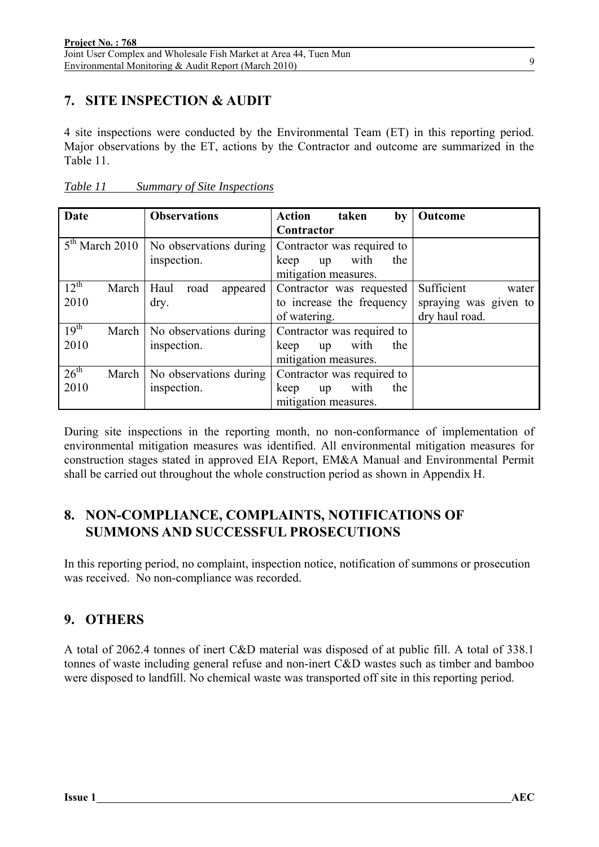#### 9

### **7. SITE INSPECTION & AUDIT**

4 site inspections were conducted by the Environmental Team (ET) in this reporting period. Major observations by the ET, actions by the Contractor and outcome are summarized in the Table 11.

| Date                      | <b>Observations</b>      | <b>Action</b><br>taken<br>bv | Outcome               |
|---------------------------|--------------------------|------------------------------|-----------------------|
|                           |                          | Contractor                   |                       |
| $5th$ March 2010          | No observations during   | Contractor was required to   |                       |
|                           | inspection.              | with<br>the<br>keep<br>up    |                       |
|                           |                          | mitigation measures.         |                       |
| $12^{th}$<br>March        | Haul<br>road<br>appeared | Contractor was requested     | Sufficient<br>water   |
| 2010                      | dry.                     | to increase the frequency    | spraying was given to |
|                           |                          | of watering.                 | dry haul road.        |
| 19 <sup>th</sup><br>March | No observations during   | Contractor was required to   |                       |
| 2010                      | inspection.              | with<br>the<br>keep<br>up    |                       |
|                           |                          | mitigation measures.         |                       |
| 26 <sup>th</sup><br>March | No observations during   | Contractor was required to   |                       |
| 2010                      | inspection.              | with<br>the<br>keep<br>up    |                       |
|                           |                          | mitigation measures.         |                       |

During site inspections in the reporting month, no non-conformance of implementation of environmental mitigation measures was identified. All environmental mitigation measures for construction stages stated in approved EIA Report, EM&A Manual and Environmental Permit shall be carried out throughout the whole construction period as shown in Appendix H.

### **8. NON-COMPLIANCE, COMPLAINTS, NOTIFICATIONS OF SUMMONS AND SUCCESSFUL PROSECUTIONS**

In this reporting period, no complaint, inspection notice, notification of summons or prosecution was received. No non-compliance was recorded.

### **9. OTHERS**

A total of 2062.4 tonnes of inert C&D material was disposed of at public fill. A total of 338.1 tonnes of waste including general refuse and non-inert C&D wastes such as timber and bamboo were disposed to landfill. No chemical waste was transported off site in this reporting period.